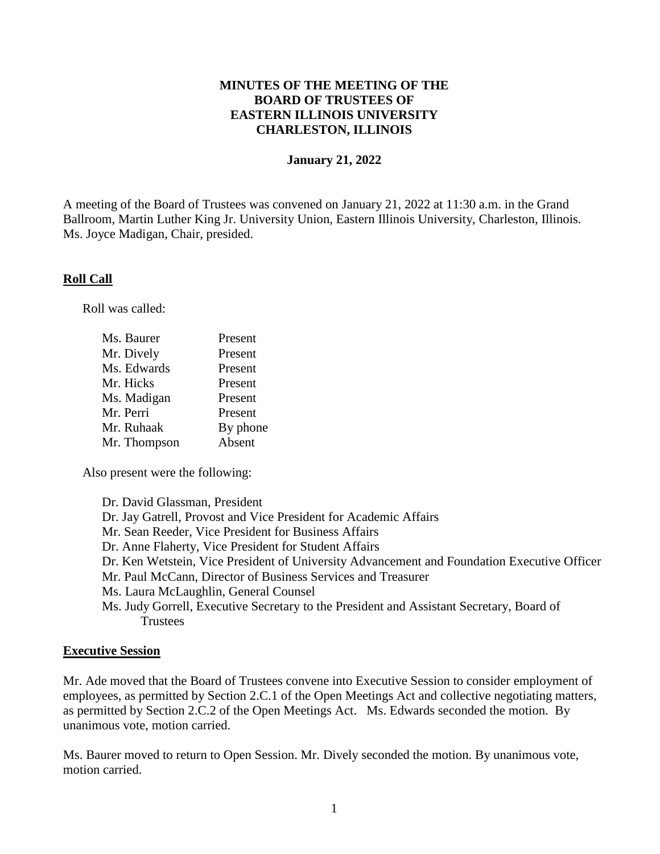# **MINUTES OF THE MEETING OF THE BOARD OF TRUSTEES OF EASTERN ILLINOIS UNIVERSITY CHARLESTON, ILLINOIS**

#### **January 21, 2022**

A meeting of the Board of Trustees was convened on January 21, 2022 at 11:30 a.m. in the Grand Ballroom, Martin Luther King Jr. University Union, Eastern Illinois University, Charleston, Illinois. Ms. Joyce Madigan, Chair, presided.

#### **Roll Call**

Roll was called:

| Present  |
|----------|
| Present  |
| Present  |
| Present  |
| Present  |
| Present  |
| By phone |
| Absent   |
|          |

Also present were the following:

Dr. David Glassman, President Dr. Jay Gatrell, Provost and Vice President for Academic Affairs Mr. Sean Reeder, Vice President for Business Affairs Dr. Anne Flaherty, Vice President for Student Affairs Dr. Ken Wetstein, Vice President of University Advancement and Foundation Executive Officer Mr. Paul McCann, Director of Business Services and Treasurer Ms. Laura McLaughlin, General Counsel Ms. Judy Gorrell, Executive Secretary to the President and Assistant Secretary, Board of **Trustees** 

#### **Executive Session**

Mr. Ade moved that the Board of Trustees convene into Executive Session to consider employment of employees, as permitted by Section 2.C.1 of the Open Meetings Act and collective negotiating matters, as permitted by Section 2.C.2 of the Open Meetings Act. Ms. Edwards seconded the motion. By unanimous vote, motion carried.

Ms. Baurer moved to return to Open Session. Mr. Dively seconded the motion. By unanimous vote, motion carried.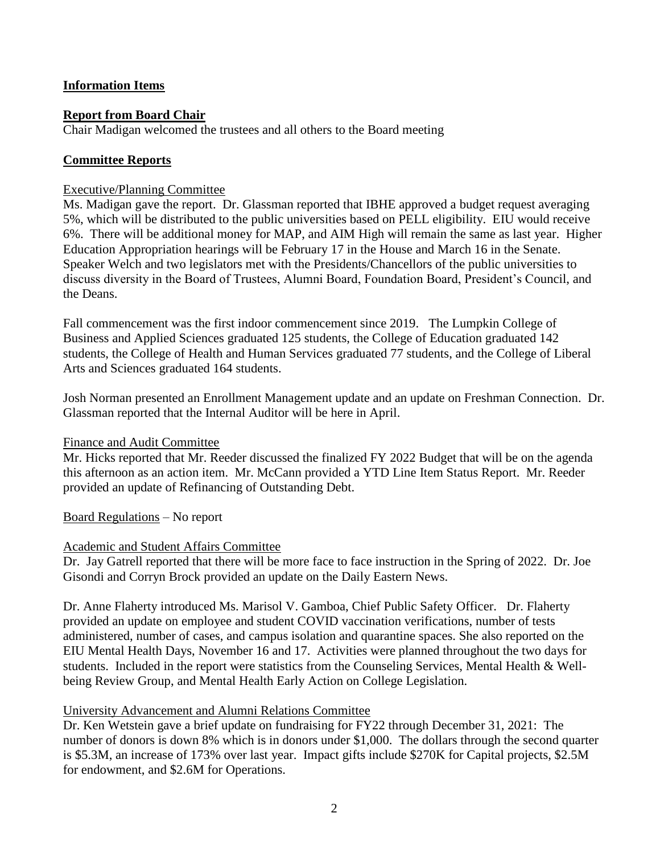# **Information Items**

### **Report from Board Chair**

Chair Madigan welcomed the trustees and all others to the Board meeting

### **Committee Reports**

#### Executive/Planning Committee

Ms. Madigan gave the report. Dr. Glassman reported that IBHE approved a budget request averaging 5%, which will be distributed to the public universities based on PELL eligibility. EIU would receive 6%. There will be additional money for MAP, and AIM High will remain the same as last year. Higher Education Appropriation hearings will be February 17 in the House and March 16 in the Senate. Speaker Welch and two legislators met with the Presidents/Chancellors of the public universities to discuss diversity in the Board of Trustees, Alumni Board, Foundation Board, President's Council, and the Deans.

Fall commencement was the first indoor commencement since 2019. The Lumpkin College of Business and Applied Sciences graduated 125 students, the College of Education graduated 142 students, the College of Health and Human Services graduated 77 students, and the College of Liberal Arts and Sciences graduated 164 students.

Josh Norman presented an Enrollment Management update and an update on Freshman Connection. Dr. Glassman reported that the Internal Auditor will be here in April.

#### Finance and Audit Committee

Mr. Hicks reported that Mr. Reeder discussed the finalized FY 2022 Budget that will be on the agenda this afternoon as an action item. Mr. McCann provided a YTD Line Item Status Report. Mr. Reeder provided an update of Refinancing of Outstanding Debt.

Board Regulations – No report

#### Academic and Student Affairs Committee

Dr. Jay Gatrell reported that there will be more face to face instruction in the Spring of 2022. Dr. Joe Gisondi and Corryn Brock provided an update on the Daily Eastern News.

Dr. Anne Flaherty introduced Ms. Marisol V. Gamboa, Chief Public Safety Officer. Dr. Flaherty provided an update on employee and student COVID vaccination verifications, number of tests administered, number of cases, and campus isolation and quarantine spaces. She also reported on the EIU Mental Health Days, November 16 and 17. Activities were planned throughout the two days for students. Included in the report were statistics from the Counseling Services, Mental Health & Wellbeing Review Group, and Mental Health Early Action on College Legislation.

#### University Advancement and Alumni Relations Committee

Dr. Ken Wetstein gave a brief update on fundraising for FY22 through December 31, 2021: The number of donors is down 8% which is in donors under \$1,000. The dollars through the second quarter is \$5.3M, an increase of 173% over last year. Impact gifts include \$270K for Capital projects, \$2.5M for endowment, and \$2.6M for Operations.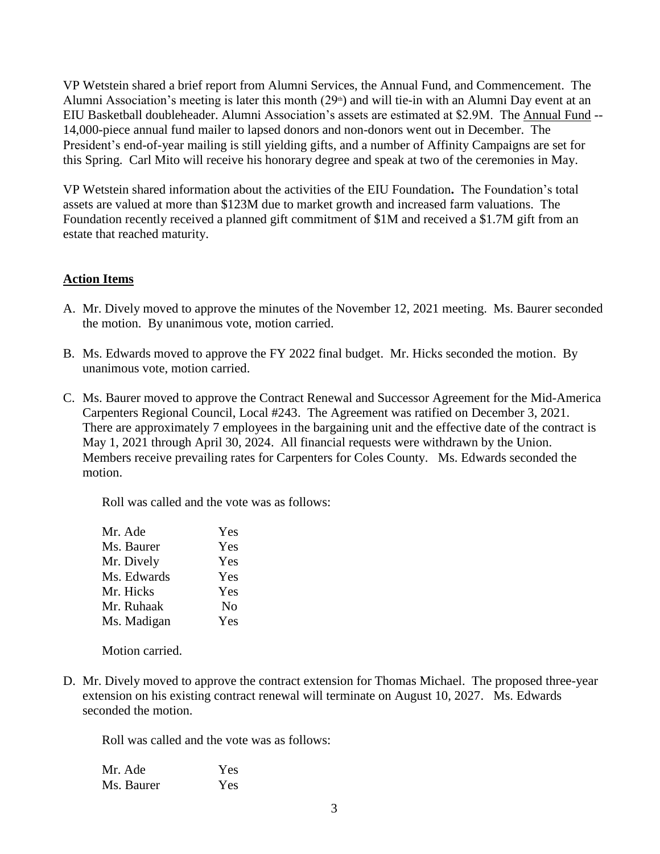VP Wetstein shared a brief report from Alumni Services, the Annual Fund, and Commencement. The Alumni Association's meeting is later this month  $(29<sup>th</sup>)$  and will tie-in with an Alumni Day event at an EIU Basketball doubleheader. Alumni Association's assets are estimated at \$2.9M. The Annual Fund -- 14,000-piece annual fund mailer to lapsed donors and non-donors went out in December. The President's end-of-year mailing is still yielding gifts, and a number of Affinity Campaigns are set for this Spring. Carl Mito will receive his honorary degree and speak at two of the ceremonies in May.

VP Wetstein shared information about the activities of the EIU Foundation**.** The Foundation's total assets are valued at more than \$123M due to market growth and increased farm valuations. The Foundation recently received a planned gift commitment of \$1M and received a \$1.7M gift from an estate that reached maturity.

# **Action Items**

- A. Mr. Dively moved to approve the minutes of the November 12, 2021 meeting. Ms. Baurer seconded the motion. By unanimous vote, motion carried.
- B. Ms. Edwards moved to approve the FY 2022 final budget. Mr. Hicks seconded the motion. By unanimous vote, motion carried.
- C. Ms. Baurer moved to approve the Contract Renewal and Successor Agreement for the Mid-America Carpenters Regional Council, Local #243. The Agreement was ratified on December 3, 2021. There are approximately 7 employees in the bargaining unit and the effective date of the contract is May 1, 2021 through April 30, 2024. All financial requests were withdrawn by the Union. Members receive prevailing rates for Carpenters for Coles County. Ms. Edwards seconded the motion.

Roll was called and the vote was as follows:

| Mr. Ade     | Yes            |
|-------------|----------------|
| Ms. Baurer  | Yes            |
| Mr. Dively  | Yes            |
| Ms. Edwards | Yes            |
| Mr. Hicks   | Yes            |
| Mr. Ruhaak  | N <sub>0</sub> |
| Ms. Madigan | Yes            |

Motion carried.

D. Mr. Dively moved to approve the contract extension for Thomas Michael. The proposed three-year extension on his existing contract renewal will terminate on August 10, 2027. Ms. Edwards seconded the motion.

Roll was called and the vote was as follows:

| Mr. Ade    | Yes |
|------------|-----|
| Ms. Baurer | Yes |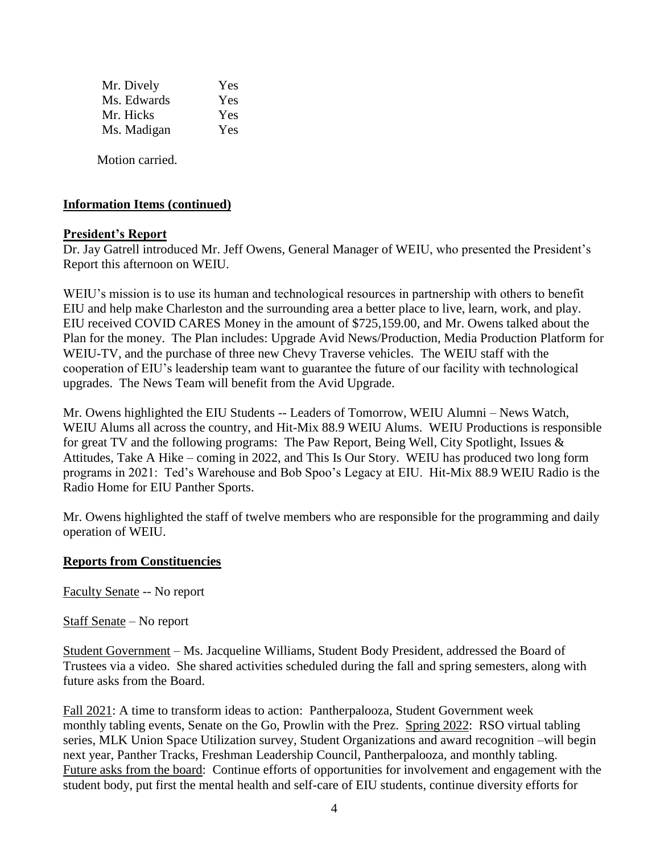| Mr. Dively  | Yes |
|-------------|-----|
| Ms. Edwards | Yes |
| Mr. Hicks   | Yes |
| Ms. Madigan | Yes |
|             |     |

Motion carried.

### **Information Items (continued)**

#### **President's Report**

Dr. Jay Gatrell introduced Mr. Jeff Owens, General Manager of WEIU, who presented the President's Report this afternoon on WEIU.

WEIU's mission is to use its human and technological resources in partnership with others to benefit EIU and help make Charleston and the surrounding area a better place to live, learn, work, and play. EIU received COVID CARES Money in the amount of \$725,159.00, and Mr. Owens talked about the Plan for the money. The Plan includes: Upgrade Avid News/Production, Media Production Platform for WEIU-TV, and the purchase of three new Chevy Traverse vehicles. The WEIU staff with the cooperation of EIU's leadership team want to guarantee the future of our facility with technological upgrades. The News Team will benefit from the Avid Upgrade.

Mr. Owens highlighted the EIU Students -- Leaders of Tomorrow, WEIU Alumni – News Watch, WEIU Alums all across the country, and Hit-Mix 88.9 WEIU Alums. WEIU Productions is responsible for great TV and the following programs: The Paw Report, Being Well, City Spotlight, Issues & Attitudes, Take A Hike – coming in 2022, and This Is Our Story. WEIU has produced two long form programs in 2021: Ted's Warehouse and Bob Spoo's Legacy at EIU. Hit-Mix 88.9 WEIU Radio is the Radio Home for EIU Panther Sports.

Mr. Owens highlighted the staff of twelve members who are responsible for the programming and daily operation of WEIU.

#### **Reports from Constituencies**

Faculty Senate -- No report

Staff Senate – No report

Student Government – Ms. Jacqueline Williams, Student Body President, addressed the Board of Trustees via a video. She shared activities scheduled during the fall and spring semesters, along with future asks from the Board.

Fall 2021: A time to transform ideas to action: Pantherpalooza, Student Government week monthly tabling events, Senate on the Go, Prowlin with the Prez. Spring 2022: RSO virtual tabling series, MLK Union Space Utilization survey, Student Organizations and award recognition –will begin next year, Panther Tracks, Freshman Leadership Council, Pantherpalooza, and monthly tabling. Future asks from the board: Continue efforts of opportunities for involvement and engagement with the student body, put first the mental health and self-care of EIU students, continue diversity efforts for